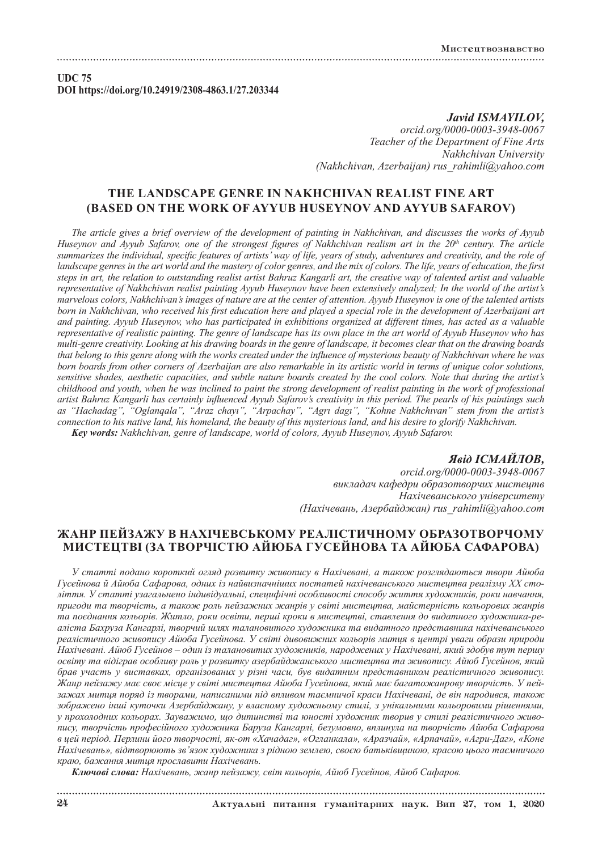**UDC 75 DOI https://doi.org/10.24919/2308-4863.1/27.203344**

> *Javid ISMAYILOV, orcid.org/0000-0003-3948-0067 Teacher of the Department of Fine Arts Nakhchivan University (Nakhchivan, Azerbaijan) rus\_rahimli@yahoo.com*

## **THE LANDSCAPE GENRE IN NAKHCHIVAN REALIST FINE ART (BASED ON THE WORK OF AYYUB HUSEYNOV AND AYYUB SAFAROV)**

*The article gives a brief overview of the development of painting in Nakhchivan, and discusses the works of Ayyub Huseynov and Ayyub Safarov, one of the strongest figures of Nakhchivan realism art in the 20<sup>th</sup> century. The article summarizes the individual, specific features of artists' way of life, years of study, adventures and creativity, and the role of landscape genres in the art world and the mastery of color genres, and the mix of colors. The life, years of education, the first steps in art, the relation to outstanding realist artist Bahruz Kangarli art, the creative way of talented artist and valuable representative of Nakhchivan realist painting Ayyub Huseynov have been extensively analyzed; In the world of the artist's marvelous colors, Nakhchivan's images of nature are at the center of attention. Ayyub Huseynov is one of the talented artists born in Nakhchivan, who received his first education here and played a special role in the development of Azerbaijani art and painting. Ayyub Huseynov, who has participated in exhibitions organized at different times, has acted as a valuable representative of realistic painting. The genre of landscape has its own place in the art world of Ayyub Huseynov who has multi-genre creativity. Looking at his drawing boards in the genre of landscape, it becomes clear that on the drawing boards that belong to this genre along with the works created under the influence of mysterious beauty of Nakhchivan where he was born boards from other corners of Azerbaijan are also remarkable in its artistic world in terms of unique color solutions, sensitive shades, aesthetic capacities, and subtle nature boards created by the cool colors. Note that during the artist's childhood and youth, when he was inclined to paint the strong development of realist painting in the work of professional artist Bahruz Kangarli has certainly influenced Ayyub Safarov's creativity in this period. The pearls of his paintings such as "Hachadag", "Oglanqala", "Araz chayı", "Arpachay", "Agrı dagı", "Kohne Nakhchıvan" stem from the artist's connection to his native land, his homeland, the beauty of this mysterious land, and his desire to glorify Nakhchivan. Key words: Nakhchivan, genre of landscape, world of colors, Ayyub Huseynov, Ayyub Safarov.*

> *Явід ІСМАЙЛОВ, orcid.org/0000-0003-3948-0067 викладач кафедри образотворчих мистецтв Нахічеванського університету (Нахічевань, Азербайджан) rus\_rahimli@yahoo.com*

## **ЖАНР ПЕЙЗАЖУ В НАХІЧЕВСЬКОМУ РЕАЛІСТИЧНОМУ ОБРАЗОТВОРЧОМУ МИСТЕЦТВІ (ЗА ТВОРЧІСТЮ АЙЮБА ГУСЕЙНОВА ТА АЙЮБА САФАРОВА)**

*У статті подано короткий огляд розвитку живопису в Нахічевані, а також розглядаються твори Айюба Гусейнова й Айюба Сафарова, одних із найвизначніших постатей нахічеванського мистецтва реалізму XX століття. У статті узагальнено індивідуальні, специфічні особливості способу життя художників, роки навчання, пригоди та творчість, а також роль пейзажних жанрів у світі мистецтва, майстерність кольорових жанрів та поєднання кольорів. Житло, роки освіти, перші кроки в мистецтві, ставлення до видатного художника-реаліста Бахруза Кангарлі, творчий шлях талановитого художника та видатного представника нахічеванського реалістичного живопису Айюба Гусейнова. У світі дивовижних кольорів митця в центрі уваги образи природи Нахічевані. Айюб Гусейнов – один із талановитих художників, народжених у Нахічевані, який здобув тут першу освіту та відіграв особливу роль у розвитку азербайджанського мистецтва та живопису. Айюб Гусейнов, який брав участь у виставках, організованих у різні часи, був видатним представником реалістичного живопису. Жанр пейзажу має своє місце у світі мистецтва Айюба Гусейнова, який має багатожанрову творчість. У пейзажах митця поряд із творами, написаними під впливом таємничої краси Нахічевані, де він народився, також зображено інші куточки Азербайджану, у власному художньому стилі, з унікальними кольоровими рішеннями, у прохолодних кольорах. Зауважимо, що дитинстві та юності художник творив у стилі реалістичного живопису, творчість професійного художника Баруза Кангарлі, безумовно, вплинула на творчість Айюба Сафарова в цей період. Перлини його творчості, як-от «Хачадаг», «Огланкала», «Аразчай», «Арпачай», «Агри-Даг», «Коне Нахічевань», відтворюють зв'язок художника з рідною землею, своєю батьківщиною, красою цього таємничого краю, бажання митця прославити Нахічевань.*

*Ключові слова: Нахічевань, жанр пейзажу, світ кольорів, Айюб Гусейнов, Айюб Сафаров.*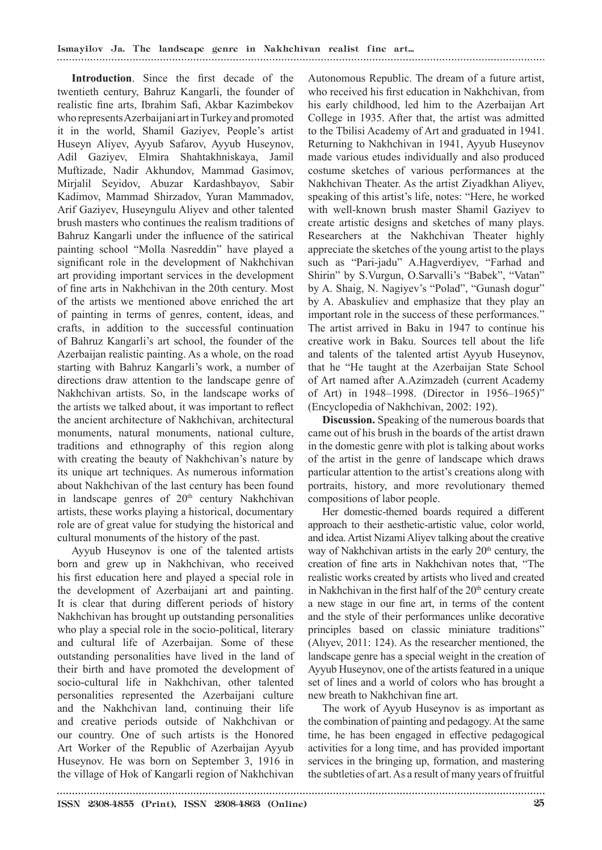**Introduction**. Since the first decade of the twentieth century, Bahruz Kangarli, the founder of realistic fine arts, Ibrahim Safi, Akbar Kazimbekov who represents Azerbaijani art in Turkey and promoted it in the world, Shamil Gaziyev, People's artist Huseyn Aliyev, Ayyub Safarov, Ayyub Huseynov, Adil Gaziyev, Elmira Shahtakhniskaya, Jamil Muftizade, Nadir Akhundov, Mammad Gasimov, Mirjalil Seyidov, Abuzar Kardashbayov, Sabir Kadimov, Mammad Shirzadov, Yuran Mammadov, Arif Gaziyev, Huseyngulu Aliyev and other talented brush masters who continues the realism traditions of Bahruz Kangarli under the influence of the satirical painting school "Molla Nasreddin" have played a significant role in the development of Nakhchivan art providing important services in the development of fine arts in Nakhchivan in the 20th century. Most of the artists we mentioned above enriched the art of painting in terms of genres, content, ideas, and crafts, in addition to the successful continuation of Bahruz Kangarli's art school, the founder of the Azerbaijan realistic painting. As a whole, on the road starting with Bahruz Kangarli's work, a number of directions draw attention to the landscape genre of Nakhchivan artists. So, in the landscape works of the artists we talked about, it was important to reflect the ancient architecture of Nakhchivan, architectural monuments, natural monuments, national culture, traditions and ethnography of this region along with creating the beauty of Nakhchivan's nature by its unique art techniques. As numerous information about Nakhchivan of the last century has been found in landscape genres of 20<sup>th</sup> century Nakhchivan artists, these works playing a historical, documentary role are of great value for studying the historical and cultural monuments of the history of the past.

Ayyub Huseynov is one of the talented artists born and grew up in Nakhchivan, who received his first education here and played a special role in the development of Azerbaijani art and painting. It is clear that during different periods of history Nakhchivan has brought up outstanding personalities who play a special role in the socio-political, literary and cultural life of Azerbaijan. Some of these outstanding personalities have lived in the land of their birth and have promoted the development of socio-cultural life in Nakhchivan, other talented personalities represented the Azerbaijani culture and the Nakhchivan land, continuing their life and creative periods outside of Nakhchivan or our country. One of such artists is the Honored Art Worker of the Republic of Azerbaijan Ayyub Huseynov. He was born on September 3, 1916 in the village of Hok of Kangarli region of Nakhchivan

Autonomous Republic. The dream of a future artist, who received his first education in Nakhchivan, from his early childhood, led him to the Azerbaijan Art College in 1935. After that, the artist was admitted to the Tbilisi Academy of Art and graduated in 1941. Returning to Nakhchivan in 1941, Ayyub Huseynov made various etudes individually and also produced costume sketches of various performances at the Nakhchivan Theater. As the artist Ziyadkhan Aliyev, speaking of this artist's life, notes: "Here, he worked with well-known brush master Shamil Gaziyev to create artistic designs and sketches of many plays. Researchers at the Nakhchivan Theater highly appreciate the sketches of the young artist to the plays such as "Pari-jadu" A.Hagverdiyev, "Farhad and Shirin" by S.Vurgun, O.Sarvalli's "Babek", "Vatan" by A. Shaig, N. Nagiyev's "Polad", "Gunash dogur" by A. Abaskuliev and emphasize that they play an important role in the success of these performances." The artist arrived in Baku in 1947 to continue his creative work in Baku. Sources tell about the life and talents of the talented artist Ayyub Huseynov, that he "He taught at the Azerbaijan State School of Art named after A.Azimzadeh (current Academy of Art) in 1948–1998. (Director in 1956–1965)" (Encyclopedia of Nakhchivan, 2002: 192).

**Discussion.** Speaking of the numerous boards that came out of his brush in the boards of the artist drawn in the domestic genre with plot is talking about works of the artist in the genre of landscape which draws particular attention to the artist's creations along with portraits, history, and more revolutionary themed compositions of labor people.

Her domestic-themed boards required a different approach to their aesthetic-artistic value, color world, and idea. Artist Nizami Aliyev talking about the creative way of Nakhchivan artists in the early 20<sup>th</sup> century, the creation of fine arts in Nakhchivan notes that, "The realistic works created by artists who lived and created in Nakhchivan in the first half of the 20<sup>th</sup> century create a new stage in our fine art, in terms of the content and the style of their performances unlike decorative principles based on classic miniature traditions" (Alıyev, 2011: 124). As the researcher mentioned, the landscape genre has a special weight in the creation of Ayyub Huseynov, one of the artists featured in a unique set of lines and a world of colors who has brought a new breath to Nakhchivan fine art.

The work of Ayyub Huseynov is as important as the combination of painting and pedagogy. At the same time, he has been engaged in effective pedagogical activities for a long time, and has provided important services in the bringing up, formation, and mastering the subtleties of art. As a result of many years of fruitful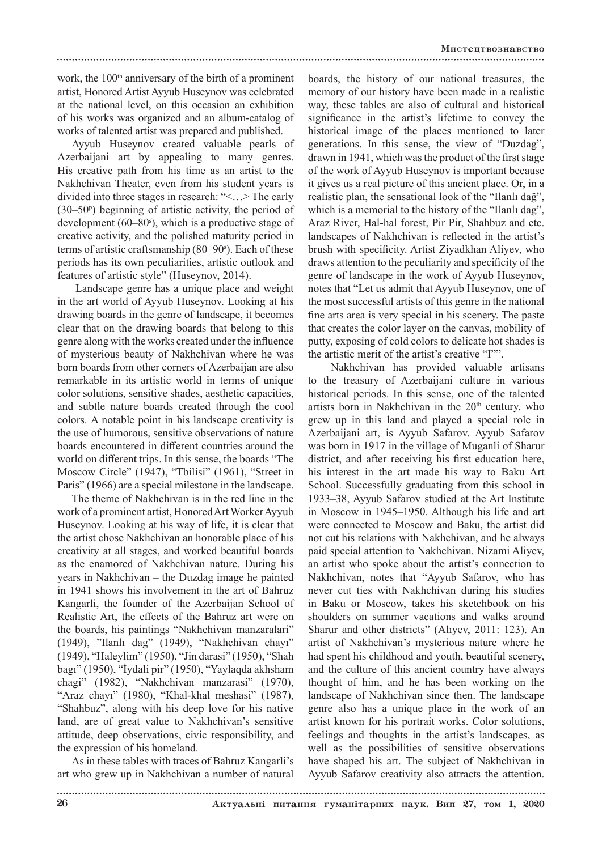work, the  $100<sup>th</sup>$  anniversary of the birth of a prominent artist, Honored Artist Ayyub Huseynov was celebrated at the national level, on this occasion an exhibition of his works was organized and an album-catalog of works of talented artist was prepared and published.

Ayyub Huseynov created valuable pearls of Azerbaijani art by appealing to many genres. His creative path from his time as an artist to the Nakhchivan Theater, even from his student years is divided into three stages in research: "<…> The early  $(30-50)$ <sup>p</sup> beginning of artistic activity, the period of development (60–80°), which is a productive stage of creative activity, and the polished maturity period in terms of artistic craftsmanship (80–90°). Each of these periods has its own peculiarities, artistic outlook and features of artistic style" (Huseynov, 2014).

 Landscape genre has a unique place and weight in the art world of Ayyub Huseynov. Looking at his drawing boards in the genre of landscape, it becomes clear that on the drawing boards that belong to this genre along with the works created under the influence of mysterious beauty of Nakhchivan where he was born boards from other corners of Azerbaijan are also remarkable in its artistic world in terms of unique color solutions, sensitive shades, aesthetic capacities, and subtle nature boards created through the cool colors. A notable point in his landscape creativity is the use of humorous, sensitive observations of nature boards encountered in different countries around the world on different trips. In this sense, the boards "The Moscow Circle" (1947), "Tbilisi" (1961), "Street in Paris" (1966) are a special milestone in the landscape.

The theme of Nakhchivan is in the red line in the work of a prominent artist, Honored Art Worker Ayyub Huseynov. Looking at his way of life, it is clear that the artist chose Nakhchivan an honorable place of his creativity at all stages, and worked beautiful boards as the enamored of Nakhchivan nature. During his years in Nakhchivan – the Duzdag image he painted in 1941 shows his involvement in the art of Bahruz Kangarli, the founder of the Azerbaijan School of Realistic Art, the effects of the Bahruz art were on the boards, his paintings "Nakhchivan manzaralari" (1949), "Ilanlı dag" (1949), "Nakhchivan chayı" (1949), "Haleylim" (1950), "Jin darasi" (1950), "Shah bagı" (1950), "İydali pir" (1950), "Yaylaqda akhsham chagi" (1982), "Nakhchivan manzarasi" (1970), "Araz chayı" (1980), "Khal-khal meshasi" (1987), "Shahbuz", along with his deep love for his native land, are of great value to Nakhchivan's sensitive attitude, deep observations, civic responsibility, and the expression of his homeland.

As in these tables with traces of Bahruz Kangarli's art who grew up in Nakhchivan a number of natural boards, the history of our national treasures, the memory of our history have been made in a realistic way, these tables are also of cultural and historical significance in the artist's lifetime to convey the historical image of the places mentioned to later generations. In this sense, the view of "Duzdag", drawn in 1941, which was the product of the first stage of the work of Ayyub Huseynov is important because it gives us a real picture of this ancient place. Or, in a realistic plan, the sensational look of the "Ilanlı dağ", which is a memorial to the history of the "Ilanlı dag", Araz River, Hal-hal forest, Pir Pir, Shahbuz and etc. landscapes of Nakhchivan is reflected in the artist's brush with specificity. Artist Ziyadkhan Aliyev, who draws attention to the peculiarity and specificity of the genre of landscape in the work of Ayyub Huseynov, notes that "Let us admit that Ayyub Huseynov, one of the most successful artists of this genre in the national fine arts area is very special in his scenery. The paste that creates the color layer on the canvas, mobility of putty, exposing of cold colors to delicate hot shades is the artistic merit of the artist's creative "I"".

 Nakhchivan has provided valuable artisans to the treasury of Azerbaijani culture in various historical periods. In this sense, one of the talented artists born in Nakhchivan in the  $20<sup>th</sup>$  century, who grew up in this land and played a special role in Azerbaijani art, is Ayyub Safarov. Ayyub Safarov was born in 1917 in the village of Muganli of Sharur district, and after receiving his first education here, his interest in the art made his way to Baku Art School. Successfully graduating from this school in 1933–38, Ayyub Safarov studied at the Art Institute in Moscow in 1945–1950. Although his life and art were connected to Moscow and Baku, the artist did not cut his relations with Nakhchivan, and he always paid special attention to Nakhchivan. Nizami Aliyev, an artist who spoke about the artist's connection to Nakhchivan, notes that "Ayyub Safarov, who has never cut ties with Nakhchivan during his studies in Baku or Moscow, takes his sketchbook on his shoulders on summer vacations and walks around Sharur and other districts" (Alıyev, 2011: 123). An artist of Nakhchivan's mysterious nature where he had spent his childhood and youth, beautiful scenery, and the culture of this ancient country have always thought of him, and he has been working on the landscape of Nakhchivan since then. The landscape genre also has a unique place in the work of an artist known for his portrait works. Color solutions, feelings and thoughts in the artist's landscapes, as well as the possibilities of sensitive observations have shaped his art. The subject of Nakhchivan in Ayyub Safarov creativity also attracts the attention.